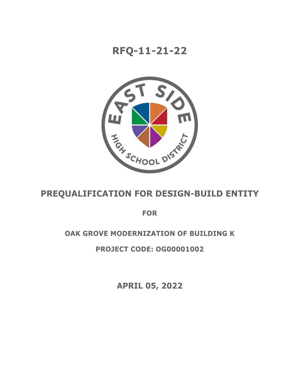# **RFQ-11-21-22**



# **PREQUALIFICATION FOR DESIGN-BUILD ENTITY**

**FOR**

## **OAK GROVE MODERNIZATION OF BUILDING K**

## **PROJECT CODE: OG00001002**

**APRIL 05, 2022**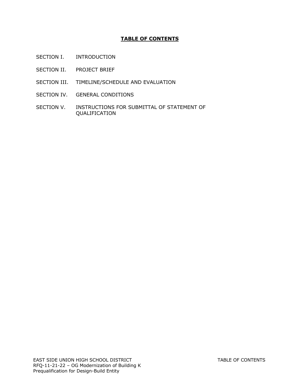## **TABLE OF CONTENTS**

- SECTION I. INTRODUCTION
- SECTION II. PROJECT BRIEF
- SECTION III. TIMELINE/SCHEDULE AND EVALUATION
- SECTION IV. GENERAL CONDITIONS
- SECTION V. INSTRUCTIONS FOR SUBMITTAL OF STATEMENT OF QUALIFICATION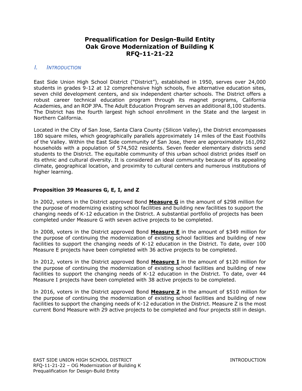## **Prequalification for Design-Build Entity Oak Grove Modernization of Building K RFQ-11-21-22**

#### *I. INTRODUCTION*

East Side Union High School District ("District"), established in 1950, serves over 24,000 students in grades 9-12 at 12 comprehensive high schools, five alternative education sites, seven child development centers, and six independent charter schools. The District offers a robust career technical education program through its magnet programs, California Academies, and an ROP JPA. The Adult Education Program serves an additional 8,100 students. The District has the fourth largest high school enrollment in the State and the largest in Northern California.

Located in the City of San Jose, Santa Clara County (Silicon Valley), the District encompasses 180 square miles, which geographically parallels approximately 14 miles of the East Foothills of the Valley. Within the East Side community of San Jose, there are approximately 161,092 households with a population of 574,502 residents. Seven feeder elementary districts send students to the District. The equitable community of this urban school district prides itself on its ethnic and cultural diversity. It is considered an ideal community because of its appealing climate, geographical location, and proximity to cultural centers and numerous institutions of higher learning.

#### **Proposition 39 Measures G, E, I, and Z**

In 2002, voters in the District approved Bond **Measure G** in the amount of \$298 million for the purpose of modernizing existing school facilities and building new facilities to support the changing needs of K-12 education in the District. A substantial portfolio of projects has been completed under Measure G with seven active projects to be completed.

In 2008, voters in the District approved Bond **Measure E** in the amount of \$349 million for the purpose of continuing the modernization of existing school facilities and building of new facilities to support the changing needs of K-12 education in the District. To date, over 100 Measure E projects have been completed with 36 active projects to be completed.

In 2012, voters in the District approved Bond **Measure I** in the amount of \$120 million for the purpose of continuing the modernization of existing school facilities and building of new facilities to support the changing needs of K-12 education in the District. To date, over 44 Measure I projects have been completed with 38 active projects to be completed.

In 2016, voters in the District approved Bond **Measure Z** in the amount of \$510 million for the purpose of continuing the modernization of existing school facilities and building of new facilities to support the changing needs of K-12 education in the District. Measure Z is the most current Bond Measure with 29 active projects to be completed and four projects still in design.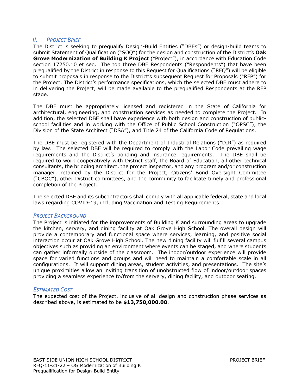## *II. PROJECT BRIEF*

The District is seeking to prequalify Design-Build Entities ("DBEs") or design-build teams to submit Statement of Qualification ("SOQ") for the design and construction of the District's **Oak Grove Modernization of Building K Project** ("Project"), in accordance with Education Code section 17250.10 et seq. The top three DBE Respondents ("Respondents") that have been prequalified by the District in response to this Request for Qualifications ("RFQ") will be eligible to submit proposals in response to the District's subsequent Request for Proposals ("RFP") for the Project. The District's performance specifications, which the selected DBE must adhere to in delivering the Project, will be made available to the prequalified Respondents at the RFP stage.

The DBE must be appropriately licensed and registered in the State of California for architectural, engineering, and construction services as needed to complete the Project. In addition, the selected DBE shall have experience with both design and construction of publicschool facilities and in working with the Office of Public School Construction ("OPSC"), the Division of the State Architect ("DSA"), and Title 24 of the California Code of Regulations.

The DBE must be registered with the Department of Industrial Relations ("DIR") as required by law. The selected DBE will be required to comply with the Labor Code prevailing wage requirements and the District's bonding and insurance requirements. The DBE shall be required to work cooperatively with District staff, the Board of Education, all other technical consultants, the bridging architect, the project inspector, and any program and/or construction manager, retained by the District for the Project, Citizens' Bond Oversight Committee ("CBOC"), other District committees, and the community to facilitate timely and professional completion of the Project.

The selected DBE and its subcontractors shall comply with all applicable federal, state and local laws regarding COVID-19, including Vaccination and Testing Requirements.

#### *PROJECT BACKGROUND*

The Project is initiated for the improvements of Building K and surrounding areas to upgrade the kitchen, servery, and dining facility at Oak Grove High School. The overall design will provide a contemporary and functional space where services, learning, and positive social interaction occur at Oak Grove High School. The new dining facility will fulfill several campus objectives such as providing an environment where events can be staged, and where students can gather informally outside of the classroom. The indoor/outdoor experience will provide space for varied functions and groups and will need to maintain a comfortable scale in all configurations. It will support dining areas, student activities, and presentations. The site's unique proximities allow an inviting transition of unobstructed flow of indoor/outdoor spaces providing a seamless experience to/from the servery, dining facility, and outdoor seating.

#### *ESTIMATED COST*

The expected cost of the Project, inclusive of all design and construction phase services as described above, is estimated to be **\$13,750,000.00**.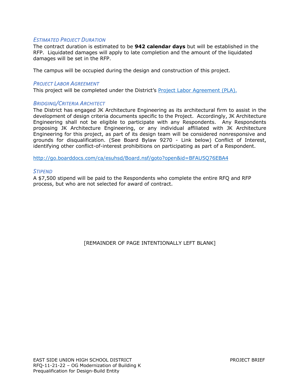#### *ESTIMATED PROJECT DURATION*

The contract duration is estimated to be **942 calendar days** but will be established in the RFP. Liquidated damages will apply to late completion and the amount of the liquidated damages will be set in the RFP.

The campus will be occupied during the design and construction of this project.

#### *PROJECT LABOR AGREEMENT*

This project will be completed under the District's [Project Labor Agreement \(PLA\).](http://thebond.esuhsd.org/wp-content/uploads/2020/10/PLA-Binder.pdf)

#### *BRIDGING/CRITERIA ARCHITECT*

The District has engaged JK Architecture Engineering as its architectural firm to assist in the development of design criteria documents specific to the Project. Accordingly, JK Architecture Engineering shall not be eligible to participate with any Respondents. Any Respondents proposing JK Architecture Engineering, or any individual affiliated with JK Architecture Engineering for this project, as part of its design team will be considered nonresponsive and grounds for disqualification. (See Board Bylaw 9270 - Link below) Conflict of Interest, identifying other conflict-of-interest prohibitions on participating as part of a Respondent.

http://go.boarddocs.com/ca/esuhsd/Board.nsf/goto?open&id=BFAU5Q76EBA4

#### *STIPEND*

A \$7,500 stipend will be paid to the Respondents who complete the entire RFQ and RFP process, but who are not selected for award of contract.

[REMAINDER OF PAGE INTENTIONALLY LEFT BLANK]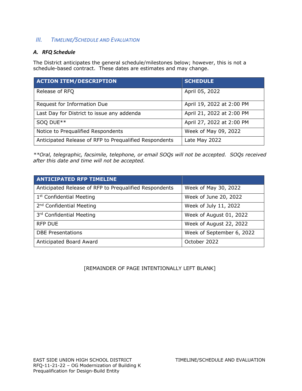## *III. TIMELINE/SCHEDULE AND EVALUATION*

## *A. RFQ Schedule*

The District anticipates the general schedule/milestones below; however, this is not a schedule-based contract. These dates are estimates and may change.

| <b>ACTION ITEM/DESCRIPTION</b>                         | <b>SCHEDULE</b>           |
|--------------------------------------------------------|---------------------------|
| Release of RFQ                                         | April 05, 2022            |
| Request for Information Due                            | April 19, 2022 at 2:00 PM |
| Last Day for District to issue any addenda             | April 21, 2022 at 2:00 PM |
| SOQ DUE**                                              | April 27, 2022 at 2:00 PM |
| Notice to Prequalified Respondents                     | Week of May 09, 2022      |
| Anticipated Release of RFP to Prequalified Respondents | Late May 2022             |

*\*\*Oral, telegraphic, facsimile, telephone, or email SOQs will not be accepted. SOQs received after this date and time will not be accepted.*

| <b>ANTICIPATED RFP TIMELINE</b>                        |                           |
|--------------------------------------------------------|---------------------------|
| Anticipated Release of RFP to Prequalified Respondents | Week of May 30, 2022      |
| 1 <sup>st</sup> Confidential Meeting                   | Week of June 20, 2022     |
| 2 <sup>nd</sup> Confidential Meeting                   | Week of July 11, 2022     |
| 3rd Confidential Meeting                               | Week of August 01, 2022   |
| <b>RFP DUE</b>                                         | Week of August 22, 2022   |
| <b>DBE Presentations</b>                               | Week of September 6, 2022 |
| Anticipated Board Award                                | October 2022              |

[REMAINDER OF PAGE INTENTIONALLY LEFT BLANK]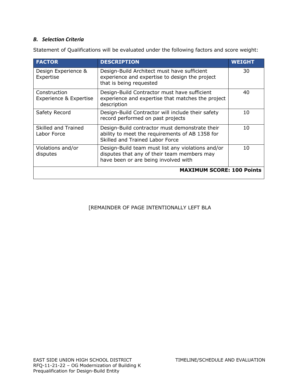## *B. Selection Criteria*

Statement of Qualifications will be evaluated under the following factors and score weight:

| <b>FACTOR</b>                          | <b>DESCRIPTION</b>                                                                                                                       | <b>WEIGHT</b> |
|----------------------------------------|------------------------------------------------------------------------------------------------------------------------------------------|---------------|
| Design Experience &<br>Expertise       | Design-Build Architect must have sufficient<br>experience and expertise to design the project<br>that is being requested                 | 30            |
| Construction<br>Experience & Expertise | Design-Build Contractor must have sufficient<br>experience and expertise that matches the project<br>description                         | 40            |
| Safety Record                          | Design-Build Contractor will include their safety<br>record performed on past projects                                                   | 10            |
| Skilled and Trained<br>Labor Force     | Design-Build contractor must demonstrate their<br>ability to meet the requirements of AB 1358 for<br>Skilled and Trained Labor Force     | 10            |
| Violations and/or<br>disputes          | Design-Build team must list any violations and/or<br>disputes that any of their team members may<br>have been or are being involved with | 10            |
|                                        | <b>MAXIMUM SCORE: 100 Points</b>                                                                                                         |               |

## [REMAINDER OF PAGE INTENTIONALLY LEFT BLA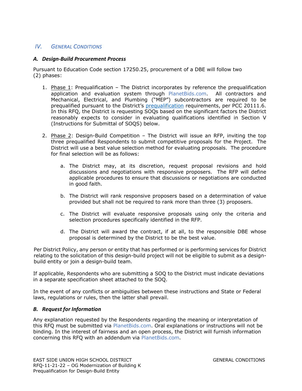## *IV. GENERAL CONDITIONS*

#### *A. Design-Build Procurement Process*

Pursuant to Education Code section 17250.25, procurement of a DBE will follow two (2) phases:

- 1. Phase 1: Prequalification The District incorporates by reference the prequalification application and evaluation system through PlanetBids.com. All contractors and Mechanical, Electrical, and Plumbing ("MEP") subcontractors are required to be prequalified pursuant to the District's prequalification requirements, per PCC 20111.6. In this RFQ, the District is requesting SOQs based on the significant factors the District reasonably expects to consider in evaluating qualifications identified in Section V (Instructions for Submittal of SOQS) below.
- 2. Phase 2: Design-Build Competition The District will issue an RFP, inviting the top three prequalified Respondents to submit competitive proposals for the Project. The District will use a best value selection method for evaluating proposals. The procedure for final selection will be as follows:
	- a. The District may, at its discretion, request proposal revisions and hold discussions and negotiations with responsive proposers. The RFP will define applicable procedures to ensure that discussions or negotiations are conducted in good faith.
	- b. The District will rank responsive proposers based on a determination of value provided but shall not be required to rank more than three (3) proposers.
	- c. The District will evaluate responsive proposals using only the criteria and selection procedures specifically identified in the RFP.
	- d. The District will award the contract, if at all, to the responsible DBE whose proposal is determined by the District to be the best value.

Per District Policy, any person or entity that has performed or is performing services for District relating to the solicitation of this design-build project will not be eligible to submit as a designbuild entity or join a design-build team.

If applicable, Respondents who are submitting a SOQ to the District must indicate deviations in a separate specification sheet attached to the SOQ.

In the event of any conflicts or ambiguities between these instructions and State or Federal laws, regulations or rules, then the latter shall prevail.

#### *B. Request for Information*

Any explanation requested by the Respondents regarding the meaning or interpretation of this RFQ must be submitted via PlanetBids.com. Oral explanations or instructions will not be binding. In the interest of fairness and an open process, the District will furnish information concerning this RFQ with an addendum via PlanetBids.com.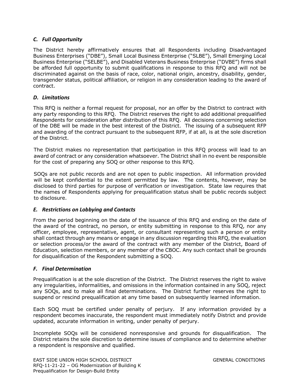## *C. Full Opportunity*

The District hereby affirmatively ensures that all Respondents including Disadvantaged Business Enterprises ("DBE"), Small Local Business Enterprise ("SLBE"), Small Emerging Local Business Enterprise ("SELBE"), and Disabled Veterans Business Enterprise ("DVBE") firms shall be afforded full opportunity to submit qualifications in response to this RFQ and will not be discriminated against on the basis of race, color, national origin, ancestry, disability, gender, transgender status, political affiliation, or religion in any consideration leading to the award of contract.

### *D. Limitations*

This RFQ is neither a formal request for proposal, nor an offer by the District to contract with any party responding to this RFQ. The District reserves the right to add additional prequalified Respondents for consideration after distribution of this RFQ. All decisions concerning selection of the DBE will be made in the best interest of the District. The issuing of a subsequent RFP and awarding of the contract pursuant to the subsequent RFP, if at all, is at the sole discretion of the District.

The District makes no representation that participation in this RFQ process will lead to an award of contract or any consideration whatsoever. The District shall in no event be responsible for the cost of preparing any SOQ or other response to this RFQ.

SOQs are not public records and are not open to public inspection. All information provided will be kept confidential to the extent permitted by law. The contents, however, may be disclosed to third parties for purpose of verification or investigation. State law requires that the names of Respondents applying for prequalification status shall be public records subject to disclosure.

### *E. Restrictions on Lobbying and Contacts*

From the period beginning on the date of the issuance of this RFQ and ending on the date of the award of the contract, no person, or entity submitting in response to this RFQ, nor any officer, employee, representative, agent, or consultant representing such a person or entity shall contact through any means or engage in any discussion regarding this RFQ, the evaluation or selection process/or the award of the contract with any member of the District, Board of Education, selection members, or any member of the CBOC. Any such contact shall be grounds for disqualification of the Respondent submitting a SOQ.

## *F. Final Determination*

Prequalification is at the sole discretion of the District. The District reserves the right to waive any irregularities, informalities, and omissions in the information contained in any SOQ, reject any SOQs, and to make all final determinations. The District further reserves the right to suspend or rescind prequalification at any time based on subsequently learned information.

Each SOQ must be certified under penalty of perjury. If any information provided by a respondent becomes inaccurate, the respondent must immediately notify District and provide updated, accurate information in writing, under penalty of perjury.

Incomplete SOQs will be considered nonresponsive and grounds for disqualification. The District retains the sole discretion to determine issues of compliance and to determine whether a respondent is responsive and qualified.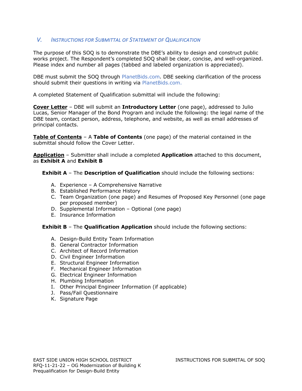## *V. INSTRUCTIONS FOR SUBMITTAL OF STATEMENT OF QUALIFICATION*

The purpose of this SOQ is to demonstrate the DBE's ability to design and construct public works project. The Respondent's completed SOQ shall be clear, concise, and well-organized. Please index and number all pages (tabbed and labeled organization is appreciated).

DBE must submit the SOQ through PlanetBids.com. DBE seeking clarification of the process should submit their questions in writing via PlanetBids.com.

A completed Statement of Qualification submittal will include the following:

**Cover Letter** – DBE will submit an **Introductory Letter** (one page), addressed to Julio Lucas, Senior Manager of the Bond Program and include the following: the legal name of the DBE team, contact person, address, telephone, and website, as well as email addresses of principal contacts.

**Table of Contents** – A **Table of Contents** (one page) of the material contained in the submittal should follow the Cover Letter.

**Application** – Submitter shall include a completed **Application** attached to this document, as **Exhibit A** and **Exhibit B**

**Exhibit A** – The **Description of Qualification** should include the following sections:

- A. Experience A Comprehensive Narrative
- B. Established Performance History
- C. Team Organization (one page) and Resumes of Proposed Key Personnel (one page per proposed member)
- D. Supplemental Information Optional (one page)
- E. Insurance Information

**Exhibit B** – The **Qualification Application** should include the following sections:

- A. Design-Build Entity Team Information
- B. General Contractor Information
- C. Architect of Record Information
- D. Civil Engineer Information
- E. Structural Engineer Information
- F. Mechanical Engineer Information
- G. Electrical Engineer Information
- H. Plumbing Information
- I. Other Principal Engineer Information (if applicable)
- J. Pass/Fail Questionnaire
- K. Signature Page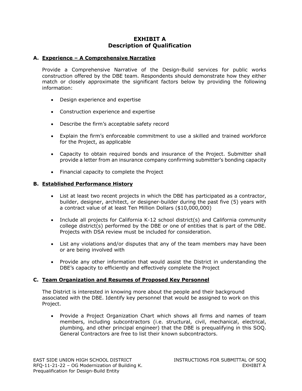## **EXHIBIT A Description of Qualification**

#### **A. Experience – A Comprehensive Narrative**

Provide a Comprehensive Narrative of the Design-Build services for public works construction offered by the DBE team. Respondents should demonstrate how they either match or closely approximate the significant factors below by providing the following information:

- Design experience and expertise
- Construction experience and expertise
- Describe the firm's acceptable safety record
- Explain the firm's enforceable commitment to use a skilled and trained workforce for the Project, as applicable
- Capacity to obtain required bonds and insurance of the Project. Submitter shall provide a letter from an insurance company confirming submitter's bonding capacity
- Financial capacity to complete the Project

#### **B. Established Performance History**

- List at least two recent projects in which the DBE has participated as a contractor, builder, designer, architect, or designer-builder during the past five (5) years with a contract value of at least Ten Million Dollars (\$10,000,000)
- Include all projects for California K-12 school district(s) and California community college district(s) performed by the DBE or one of entities that is part of the DBE. Projects with DSA review must be included for consideration.
- List any violations and/or disputes that any of the team members may have been or are being involved with
- Provide any other information that would assist the District in understanding the DBE's capacity to efficiently and effectively complete the Project

### **C. Team Organization and Resumes of Proposed Key Personnel**

The District is interested in knowing more about the people and their background associated with the DBE. Identify key personnel that would be assigned to work on this Project.

• Provide a Project Organization Chart which shows all firms and names of team members, including subcontractors (i.e. structural, civil, mechanical, electrical, plumbing, and other principal engineer) that the DBE is prequalifying in this SOQ. General Contractors are free to list their known subcontractors.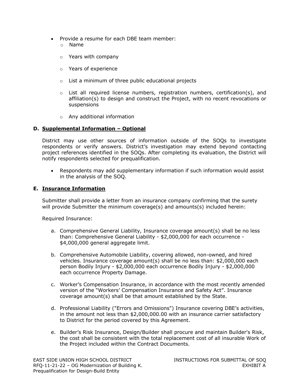- Provide a resume for each DBE team member:
	- o Name
	- o Years with company
	- o Years of experience
	- o List a minimum of three public educational projects
	- $\circ$  List all required license numbers, registration numbers, certification(s), and affiliation(s) to design and construct the Project, with no recent revocations or suspensions
	- o Any additional information

### **D. Supplemental Information – Optional**

District may use other sources of information outside of the SOQs to investigate respondents or verify answers. District's investigation may extend beyond contacting project references identified in the SOQs. After completing its evaluation, the District will notify respondents selected for prequalification.

• Respondents may add supplementary information if such information would assist in the analysis of the SOQ.

### **E. Insurance Information**

Submitter shall provide a letter from an insurance company confirming that the surety will provide Submitter the minimum coverage(s) and amounts(s) included herein:

Required Insurance:

- a. Comprehensive General Liability, Insurance coverage amount(s) shall be no less than: Comprehensive General Liability - \$2,000,000 for each occurrence - \$4,000,000 general aggregate limit.
- b. Comprehensive Automobile Liability, covering allowed, non-owned, and hired vehicles. Insurance coverage amount(s) shall be no less than: \$2,000,000 each person Bodily Injury - \$2,000,000 each occurrence Bodily Injury - \$2,000,000 each occurrence Property Damage.
- c. Worker's Compensation Insurance, in accordance with the most recently amended version of the "Workers' Compensation Insurance and Safety Act". Insurance coverage amount(s) shall be that amount established by the State.
- d. Professional Liability ("Errors and Omissions") Insurance covering DBE's activities, in the amount not less than \$2,000,000.00 with an insurance carrier satisfactory to District for the period covered by this Agreement.
- e. Builder's Risk Insurance, Design/Builder shall procure and maintain Builder's Risk, the cost shall be consistent with the total replacement cost of all insurable Work of the Project included within the Contract Documents.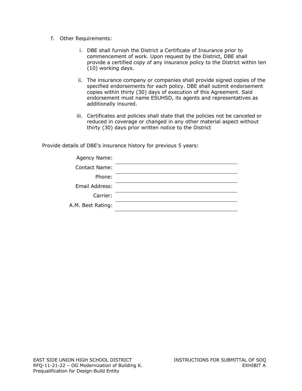- f. Other Requirements:
	- i. DBE shall furnish the District a Certificate of Insurance prior to commencement of work. Upon request by the District, DBE shall provide a certified copy of any insurance policy to the District within ten (10) working days.
	- ii. The insurance company or companies shall provide signed copies of the specified endorsements for each policy. DBE shall submit endorsement copies within thirty (30) days of execution of this Agreement. Said endorsement must name ESUHSD, its agents and representatives as additionally insured.
	- iii. Certificates and policies shall state that the policies not be canceled or reduced in coverage or changed in any other material aspect without thirty (30) days prior written notice to the District

Provide details of DBE's insurance history for previous 5 years:

| Agency Name:      |  |
|-------------------|--|
| Contact Name:     |  |
| Phone:            |  |
| Email Address:    |  |
| Carrier:          |  |
| A.M. Best Rating: |  |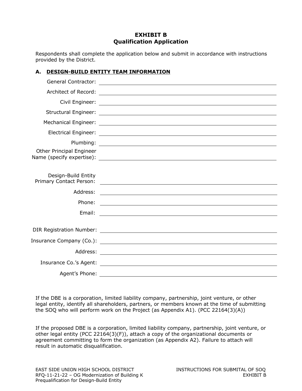## **EXHIBIT B Qualification Application**

Respondents shall complete the application below and submit in accordance with instructions provided by the District.

## **A. DESIGN-BUILD ENTITY TEAM INFORMATION**

| Other Principal Engineer                       |                                                                                                                       |
|------------------------------------------------|-----------------------------------------------------------------------------------------------------------------------|
|                                                |                                                                                                                       |
| Design-Build Entity<br>Primary Contact Person: | <u> 1989 - Johann Barn, fransk politik formuler (d. 1989)</u>                                                         |
| Address:                                       | <u> 1989 - Johann Stoff, deutscher Stoff, der Stoff, der Stoff, der Stoff, der Stoff, der Stoff, der Stoff, der S</u> |
| Phone:                                         | <u> 2000 - Andrea Andrew Maria (h. 1878).</u>                                                                         |
| Email:                                         | <u> 1980 - Jan Samuel Barbara, margaret eta idazlearia (h. 1980).</u>                                                 |
|                                                |                                                                                                                       |
|                                                |                                                                                                                       |
|                                                |                                                                                                                       |
|                                                |                                                                                                                       |
|                                                | Insurance Co.'s Agent: <u>Insurance</u> Co.'s Agent: 1999                                                             |
| Agent's Phone:                                 |                                                                                                                       |

If the DBE is a corporation, limited liability company, partnership, joint venture, or other legal entity, identify all shareholders, partners, or members known at the time of submitting the SOQ who will perform work on the Project (as Appendix A1). (PCC 22164(3)(A))

If the proposed DBE is a corporation, limited liability company, partnership, joint venture, or other legal entity (PCC 22164(3)(F)), attach a copy of the organizational documents or agreement committing to form the organization (as Appendix A2). Failure to attach will result in automatic disqualification.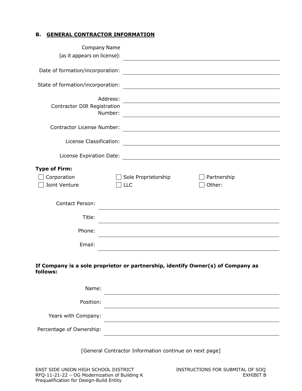## **B. GENERAL CONTRACTOR INFORMATION**

| <b>Company Name</b>                                  |                                                                                                                        |
|------------------------------------------------------|------------------------------------------------------------------------------------------------------------------------|
| (as it appears on license):                          |                                                                                                                        |
| Date of formation/incorporation:                     |                                                                                                                        |
| State of formation/incorporation:                    |                                                                                                                        |
| Address:<br>Contractor DIR Registration<br>Number:   | <u> 1989 - Johann Stoff, deutscher Stoffen und der Stoffen und der Stoffen und der Stoffen und der Stoffen und der</u> |
| Contractor License Number:                           |                                                                                                                        |
| License Classification:                              | <u> 1989 - Johann Barn, mars ann an t-Amhain Aonaichte ann an t-Aonaichte ann an t-Aonaichte ann an t-Aonaichte a</u>  |
| License Expiration Date:                             |                                                                                                                        |
| <b>Type of Firm:</b><br>Corporation<br>Joint Venture | Sole Proprietorship<br>Partnership<br>Other:<br><b>LLC</b>                                                             |
| <b>Contact Person:</b>                               |                                                                                                                        |
| Title:                                               |                                                                                                                        |
| Phone:                                               |                                                                                                                        |
| Email:                                               |                                                                                                                        |
| follows:                                             | If Company is a sole proprietor or partnership, identify Owner(s) of Company as                                        |
| Name:                                                |                                                                                                                        |
| Position:                                            |                                                                                                                        |
| Years with Company:                                  |                                                                                                                        |
| Percentage of Ownership:                             |                                                                                                                        |
|                                                      | [General Contractor Information continue on next page]                                                                 |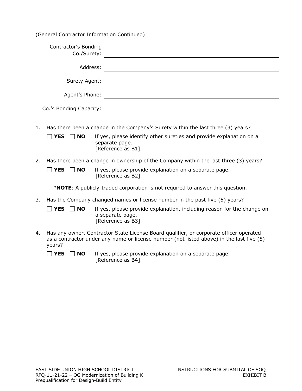(General Contractor Information Continued)

| Contractor's Bonding<br>Co./Surety: |  |
|-------------------------------------|--|
| Address:                            |  |
| Surety Agent:                       |  |
| Agent's Phone:                      |  |
| Co.'s Bonding Capacity:             |  |

- 1. Has there been a change in the Company's Surety within the last three (3) years?
	- **T** YES **NO** If yes, please identify other sureties and provide explanation on a separate page. [Reference as B1]
- 2. Has there been a change in ownership of the Company within the last three (3) years?

 $\Box$  **YES**  $\Box$  **NO** If yes, please provide explanation on a separate page. [Reference as B2]

\***NOTE**: A publicly-traded corporation is not required to answer this question.

3. Has the Company changed names or license number in the past five (5) years?

□ YES □ NO If yes, please provide explanation, including reason for the change on a separate page. [Reference as B3]

4. Has any owner, Contractor State License Board qualifier, or corporate officer operated as a contractor under any name or license number (not listed above) in the last five (5) years?

 $\Box$  **YES**  $\Box$  **NO** If yes, please provide explanation on a separate page. [Reference as B4]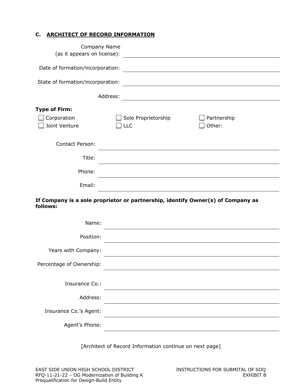## **C. ARCHITECT OF RECORD INFORMATION**

| Company Name<br>(as it appears on license): |                                                                                                                       |
|---------------------------------------------|-----------------------------------------------------------------------------------------------------------------------|
| Date of formation/incorporation:            |                                                                                                                       |
| State of formation/incorporation:           | <u> 1989 - Johann Stein, marwolaethau a bhann an t-Albann an t-Albann an t-Albann an t-Albann an t-Albann an t-Al</u> |
|                                             | Address:                                                                                                              |
| <b>Type of Firm:</b>                        |                                                                                                                       |
| Corporation                                 | Sole Proprietorship<br>Partnership                                                                                    |
| Joint Venture                               | Other:<br>LLC                                                                                                         |
| <b>Contact Person:</b>                      |                                                                                                                       |
| Title:                                      |                                                                                                                       |
| Phone:                                      |                                                                                                                       |
| Email:                                      |                                                                                                                       |
| follows:                                    | If Company is a sole proprietor or partnership, identify Owner(s) of Company as                                       |
| Name:                                       |                                                                                                                       |
| Position:                                   |                                                                                                                       |
| Years with Company:                         |                                                                                                                       |
| Percentage of Ownership:                    |                                                                                                                       |
| Insurance Co.:                              |                                                                                                                       |
| Address:                                    |                                                                                                                       |
| Insurance Co.'s Agent:                      |                                                                                                                       |
| Agent's Phone:                              |                                                                                                                       |

[Architect of Record Information continue on next page]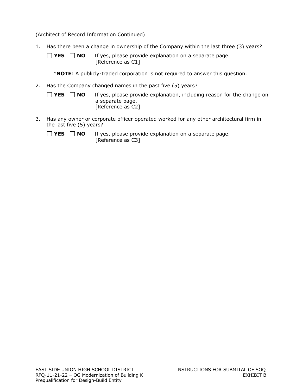(Architect of Record Information Continued)

- 1. Has there been a change in ownership of the Company within the last three (3) years?
	- $\Box$  **YES**  $\Box$  **NO** If yes, please provide explanation on a separate page. [Reference as C1]
		- \***NOTE**: A publicly-traded corporation is not required to answer this question.
- 2. Has the Company changed names in the past five (5) years?
	- **YES NO** If yes, please provide explanation, including reason for the change on a separate page. [Reference as C2]
- 3. Has any owner or corporate officer operated worked for any other architectural firm in the last five (5) years?
	- $\Box$  **YES**  $\Box$  **NO** If yes, please provide explanation on a separate page. [Reference as C3]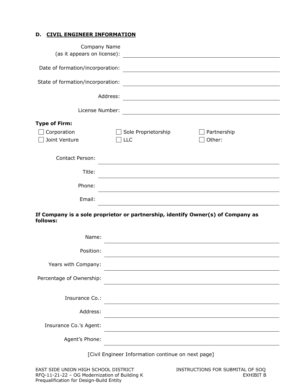#### **D. CIVIL ENGINEER INFORMATION**

| (as it appears on license):       | Company Name<br><u> 1989 - John Stein, Amerikaansk politiker (</u>              |                                                                                                                      |
|-----------------------------------|---------------------------------------------------------------------------------|----------------------------------------------------------------------------------------------------------------------|
| Date of formation/incorporation:  |                                                                                 |                                                                                                                      |
| State of formation/incorporation: |                                                                                 | <u> 1989 - Johann Barn, mars ar breithinn ar chuid ann an t-Alban ann an t-Alban ann an t-Alban ann an t-Alban a</u> |
|                                   | Address:                                                                        |                                                                                                                      |
| License Number:                   |                                                                                 | <u> 1980 - Andrea Station Barbara, amerikan personal (h. 1980).</u>                                                  |
| <b>Type of Firm:</b>              |                                                                                 |                                                                                                                      |
| Corporation<br>Joint Venture      | Sole Proprietorship<br><b>LLC</b>                                               | Partnership<br>Other:                                                                                                |
| <b>Contact Person:</b>            |                                                                                 |                                                                                                                      |
| Title:                            |                                                                                 |                                                                                                                      |
| Phone:                            |                                                                                 |                                                                                                                      |
| Email:                            |                                                                                 |                                                                                                                      |
| follows:                          | If Company is a sole proprietor or partnership, identify Owner(s) of Company as |                                                                                                                      |

| Name:                    |  |
|--------------------------|--|
| Position:                |  |
| Years with Company:      |  |
| Percentage of Ownership: |  |
|                          |  |
| Insurance Co.:           |  |
| Address:                 |  |
| Insurance Co.'s Agent:   |  |
| Agent's Phone:           |  |
|                          |  |

[Civil Engineer Information continue on next page]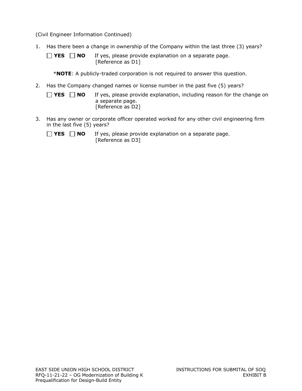(Civil Engineer Information Continued)

- 1. Has there been a change in ownership of the Company within the last three (3) years?
	- $\Box$  **YES**  $\Box$  **NO** If yes, please provide explanation on a separate page. [Reference as D1]
		- \***NOTE**: A publicly-traded corporation is not required to answer this question.
- 2. Has the Company changed names or license number in the past five (5) years?
	- **YES NO** If yes, please provide explanation, including reason for the change on a separate page. [Reference as D2]
- 3. Has any owner or corporate officer operated worked for any other civil engineering firm in the last five (5) years?
	- $\Box$  **YES**  $\Box$  **NO** If yes, please provide explanation on a separate page. [Reference as D3]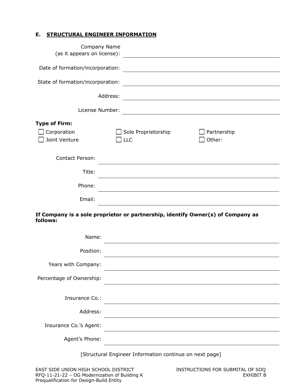## **E. STRUCTURAL ENGINEER INFORMATION**

| Company Name<br>(as it appears on license):          | <u> 1980 - Jan Stein Stein Stein Stein Stein Stein Stein Stein Stein Stein Stein Stein Stein Stein Stein Stein S</u> |
|------------------------------------------------------|----------------------------------------------------------------------------------------------------------------------|
| Date of formation/incorporation:                     |                                                                                                                      |
| State of formation/incorporation:                    |                                                                                                                      |
|                                                      | Address:                                                                                                             |
| License Number:                                      |                                                                                                                      |
| <b>Type of Firm:</b><br>Corporation<br>Joint Venture | Sole Proprietorship<br>Partnership<br>Other:<br><b>LLC</b>                                                           |
| <b>Contact Person:</b>                               |                                                                                                                      |
| Title:                                               |                                                                                                                      |
| Phone:                                               |                                                                                                                      |
| Email:                                               |                                                                                                                      |
| follows:                                             | If Company is a sole proprietor or partnership, identify Owner(s) of Company as                                      |
| Name:                                                |                                                                                                                      |
| Position:                                            |                                                                                                                      |

Years with Company:

Percentage of Ownership:

| Insurance Co.:         |  |
|------------------------|--|
| Address:               |  |
| Insurance Co.'s Agent: |  |
| Agent's Phone:         |  |

[Structural Engineer Information continue on next page]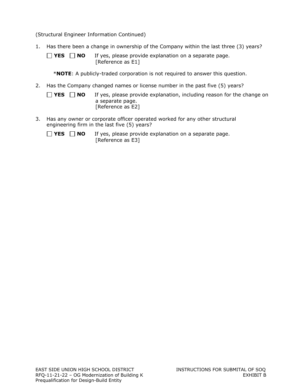(Structural Engineer Information Continued)

- 1. Has there been a change in ownership of the Company within the last three (3) years?
	- **YES NO** If yes, please provide explanation on a separate page. [Reference as E1]
		- \***NOTE**: A publicly-traded corporation is not required to answer this question.
- 2. Has the Company changed names or license number in the past five (5) years?
	- **YES NO** If yes, please provide explanation, including reason for the change on a separate page. [Reference as E2]
- 3. Has any owner or corporate officer operated worked for any other structural engineering firm in the last five (5) years?
	- $\Box$  **YES**  $\Box$  **NO** If yes, please provide explanation on a separate page. [Reference as E3]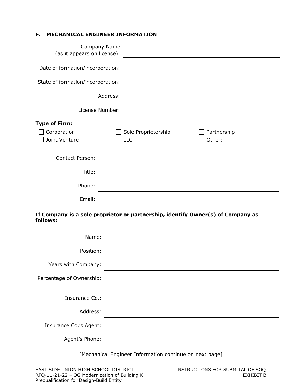## **F. MECHANICAL ENGINEER INFORMATION**

| Company Name<br>(as it appears on license):          | <u> 1989 - Johann Stein, fransk politik (</u>                                                                        |
|------------------------------------------------------|----------------------------------------------------------------------------------------------------------------------|
| Date of formation/incorporation:                     |                                                                                                                      |
| State of formation/incorporation:                    |                                                                                                                      |
| Address:                                             |                                                                                                                      |
| License Number:                                      | <u> 1980 - Johann Barn, mars ann an t-Amhain Aonaich an t-Aonaich an t-Aonaich ann an t-Aonaich ann an t-Aonaich</u> |
| <b>Type of Firm:</b><br>Corporation<br>Joint Venture | Sole Proprietorship<br>Partnership<br>Other:<br><b>LLC</b>                                                           |
| <b>Contact Person:</b>                               |                                                                                                                      |
| Title:                                               |                                                                                                                      |
| Phone:                                               |                                                                                                                      |
| Email:                                               |                                                                                                                      |
| follows:                                             | If Company is a sole proprietor or partnership, identify Owner(s) of Company as                                      |
| Name:                                                |                                                                                                                      |
| Position:                                            |                                                                                                                      |

[Mechanical Engineer Information continue on next page]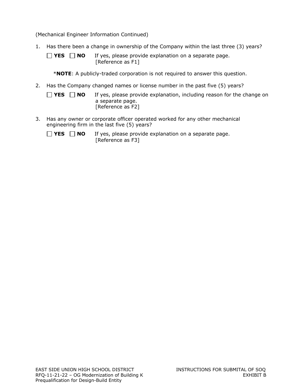(Mechanical Engineer Information Continued)

- 1. Has there been a change in ownership of the Company within the last three (3) years?
	- **YES NO** If yes, please provide explanation on a separate page. [Reference as F1]
		- \***NOTE**: A publicly-traded corporation is not required to answer this question.
- 2. Has the Company changed names or license number in the past five (5) years?
	- **YES NO** If yes, please provide explanation, including reason for the change on a separate page. [Reference as F2]
- 3. Has any owner or corporate officer operated worked for any other mechanical engineering firm in the last five (5) years?
	- $\Box$  **YES**  $\Box$  **NO** If yes, please provide explanation on a separate page. [Reference as F3]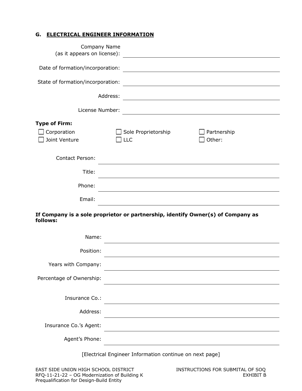## **G. ELECTRICAL ENGINEER INFORMATION**

| (as it appears on license):       | Company Name<br><u> 1989 - Andrea State Barbara, amerikan per</u>               |                                                                                                                  |  |
|-----------------------------------|---------------------------------------------------------------------------------|------------------------------------------------------------------------------------------------------------------|--|
| Date of formation/incorporation:  |                                                                                 |                                                                                                                  |  |
| State of formation/incorporation: |                                                                                 |                                                                                                                  |  |
|                                   | Address:                                                                        |                                                                                                                  |  |
|                                   | License Number:                                                                 | and the control of the control of the control of the control of the control of the control of the control of the |  |
| <b>Type of Firm:</b>              |                                                                                 |                                                                                                                  |  |
| Corporation<br>Joint Venture      | Sole Proprietorship<br>LLC                                                      | Partnership<br>Other:                                                                                            |  |
| <b>Contact Person:</b>            |                                                                                 |                                                                                                                  |  |
| Title:                            |                                                                                 |                                                                                                                  |  |
| Phone:                            |                                                                                 |                                                                                                                  |  |
| Email:                            |                                                                                 |                                                                                                                  |  |
| follows:                          | If Company is a sole proprietor or partnership, identify Owner(s) of Company as |                                                                                                                  |  |
| Name:                             |                                                                                 |                                                                                                                  |  |

| Position:                |  |
|--------------------------|--|
| Years with Company:      |  |
| Percentage of Ownership: |  |
|                          |  |
|                          |  |
| Insurance Co.:           |  |
| Address:                 |  |
| Insurance Co.'s Agent:   |  |
| Agent's Phone:           |  |
|                          |  |

[Electrical Engineer Information continue on next page]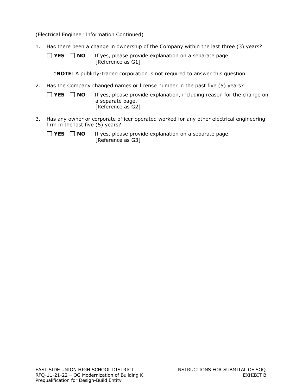(Electrical Engineer Information Continued)

- 1. Has there been a change in ownership of the Company within the last three (3) years?
	- $\Box$  **YES**  $\Box$  **NO** If yes, please provide explanation on a separate page. [Reference as G1]
		- \***NOTE**: A publicly-traded corporation is not required to answer this question.
- 2. Has the Company changed names or license number in the past five (5) years?
	- **YES NO** If yes, please provide explanation, including reason for the change on a separate page. [Reference as G2]
- 3. Has any owner or corporate officer operated worked for any other electrical engineering firm in the last five (5) years?
	- $\Box$  **YES**  $\Box$  **NO** If yes, please provide explanation on a separate page. [Reference as G3]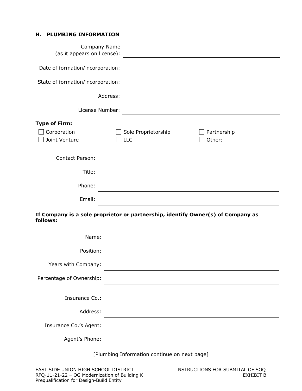#### **H. PLUMBING INFORMATION**

| Company Name<br>(as it appears on license):                                                 |                                   |                                                                                                                        |
|---------------------------------------------------------------------------------------------|-----------------------------------|------------------------------------------------------------------------------------------------------------------------|
| Date of formation/incorporation:                                                            |                                   | <u> 1989 - Johann Stoff, deutscher Stoffen und der Stoffen und der Stoffen und der Stoffen und der Stoffen und der</u> |
| State of formation/incorporation:                                                           |                                   |                                                                                                                        |
| Address:                                                                                    |                                   |                                                                                                                        |
| License Number:                                                                             |                                   | <u> 1989 - Johann Stoff, Amerikaansk politiker (</u>                                                                   |
| <b>Type of Firm:</b><br>Corporation<br>Joint Venture                                        | Sole Proprietorship<br><b>LLC</b> | Partnership<br>Other:                                                                                                  |
| <b>Contact Person:</b>                                                                      |                                   |                                                                                                                        |
| Title:                                                                                      |                                   |                                                                                                                        |
| Phone:                                                                                      |                                   |                                                                                                                        |
| Email:                                                                                      |                                   |                                                                                                                        |
| If Company is a sole proprietor or partnership, identify Owner(s) of Company as<br>follows: |                                   |                                                                                                                        |
| Name:                                                                                       |                                   |                                                                                                                        |

| Position:                |  |
|--------------------------|--|
| Years with Company:      |  |
| Percentage of Ownership: |  |
|                          |  |
| Insurance Co.:           |  |
| Address:                 |  |
| Insurance Co.'s Agent:   |  |
| Agent's Phone:           |  |
|                          |  |

[Plumbing Information continue on next page]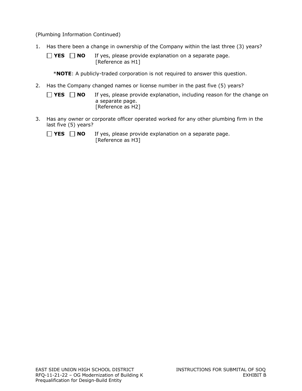(Plumbing Information Continued)

- 1. Has there been a change in ownership of the Company within the last three (3) years?
	- $\Box$  **YES**  $\Box$  **NO** If yes, please provide explanation on a separate page. [Reference as H1]
		- \***NOTE**: A publicly-traded corporation is not required to answer this question.
- 2. Has the Company changed names or license number in the past five (5) years?
	- **YES NO** If yes, please provide explanation, including reason for the change on a separate page. [Reference as H2]
- 3. Has any owner or corporate officer operated worked for any other plumbing firm in the last five (5) years?
	- $\Box$  **YES**  $\Box$  **NO** If yes, please provide explanation on a separate page. [Reference as H3]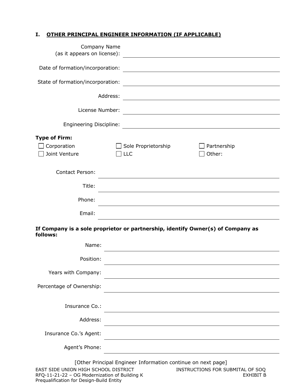## **I. OTHER PRINCIPAL ENGINEER INFORMATION (IF APPLICABLE)**

| Company Name<br>(as it appears on license): |                                                                                                                       |
|---------------------------------------------|-----------------------------------------------------------------------------------------------------------------------|
| Date of formation/incorporation:            | <u> 1980 - Johann Stoff, deutscher Stoffen und der Stoffen und der Stoffen und der Stoffen und der Stoffen und de</u> |
| State of formation/incorporation:           | <u> 1980 - Johann Barn, fransk politik (f. 1980)</u>                                                                  |
| Address:                                    | <u> 1980 - Johann Barn, mars ann an t-Amhain Aonaichte ann an t-Amhain Aonaichte ann an t-Amhain Aonaichte ann an</u> |
| License Number:                             |                                                                                                                       |
|                                             | Engineering Discipline: 2008 2009 2010 2020 2031 2032 2040 2051 2052 2053 2054 2055 2056 2057 2058 2059 2059 20       |
| <b>Type of Firm:</b>                        |                                                                                                                       |
| Corporation<br>Joint Venture                | Sole Proprietorship<br>Partnership<br>Other:<br>$ $ LLC                                                               |
| <b>Contact Person:</b>                      |                                                                                                                       |
| Title:                                      |                                                                                                                       |
| Phone:                                      |                                                                                                                       |
| Email:                                      |                                                                                                                       |
| follows:                                    | If Company is a sole proprietor or partnership, identify Owner(s) of Company as                                       |
| Name:                                       |                                                                                                                       |
| Position:                                   |                                                                                                                       |
| Years with Company:                         |                                                                                                                       |
| Percentage of Ownership:                    |                                                                                                                       |
| Insurance Co.:                              |                                                                                                                       |
| Address:                                    |                                                                                                                       |
| Insurance Co.'s Agent:                      |                                                                                                                       |
| Agent's Phone:                              |                                                                                                                       |
| EAST SIDE UNION HIGH SCHOOL DISTRICT        | [Other Principal Engineer Information continue on next page]<br>INSTRUCTIONS FOR SUBMITAL OF SOQ                      |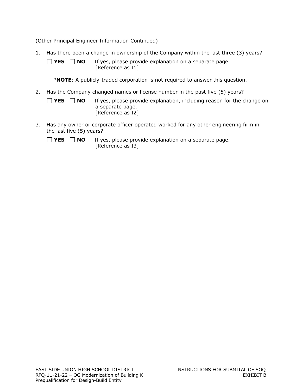(Other Principal Engineer Information Continued)

1. Has there been a change in ownership of the Company within the last three (3) years?

 $\Box$  **YES**  $\Box$  **NO** If yes, please provide explanation on a separate page. [Reference as I1]

\***NOTE**: A publicly-traded corporation is not required to answer this question.

2. Has the Company changed names or license number in the past five (5) years?

| $\Box$ YES $\Box$ NO | If yes, please provide explanation, including reason for the change on |
|----------------------|------------------------------------------------------------------------|
|                      | a separate page.                                                       |
|                      | [Reference as I2]                                                      |

3. Has any owner or corporate officer operated worked for any other engineering firm in the last five (5) years?

 $\Box$  **YES**  $\Box$  **NO** If yes, please provide explanation on a separate page. [Reference as I3]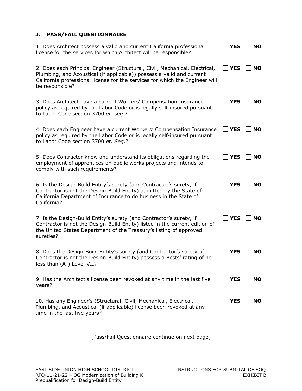## **J. PASS/FAIL QUESTIONNAIRE**

| 1. Does Architect possess a valid and current California professional<br>license for the services for which Architect will be responsible?                                                                                                              | <b>YES</b>  | <b>NO</b> |
|---------------------------------------------------------------------------------------------------------------------------------------------------------------------------------------------------------------------------------------------------------|-------------|-----------|
| 2. Does each Principal Engineer (Structural, Civil, Mechanical, Electrical,<br>Plumbing, and Acoustical (if applicable)) possess a valid and current<br>California professional license for the services for which the Engineer will<br>be responsible? | <b>YES</b>  | <b>NO</b> |
| 3. Does Architect have a current Workers' Compensation Insurance<br>policy as required by the Labor Code or is legally self-insured pursuant<br>to Labor Code section 3700 et. seq.?                                                                    | <b>YES</b>  | <b>NO</b> |
| 4. Does each Engineer have a current Workers' Compensation Insurance<br>policy as required by the Labor Code or is legally self-insured pursuant<br>to Labor Code section 3700 et. Seq.?                                                                | <b>YES</b>  | <b>NO</b> |
| 5. Does Contractor know and understand its obligations regarding the<br>employment of apprentices on public works projects and intends to<br>comply with such requirements?                                                                             | <b>YES</b>  | <b>NO</b> |
| 6. Is the Design-Build Entity's surety (and Contractor's surety, if<br>Contractor is not the Design-Build Entity) admitted by the State of<br>California Department of Insurance to do business in the State of<br>California?                          | <b>YES</b>  | <b>NO</b> |
| 7. Is the Design-Build Entity's surety (and Contractor's surety, if<br>Contractor is not the Design-Build Entity) listed in the current edition of<br>the United States Department of the Treasury's listing of approved<br>sureties?                   | <b>YES</b>  | <b>NO</b> |
| 8. Does the Design-Build Entity's surety (and Contractor's surety, if<br>Contractor is not the Design-Build Entity) possess a Bests' rating of no<br>less than (A-) Level VII?                                                                          | <b>YES</b>  | <b>NO</b> |
| 9. Has the Architect's license been revoked at any time in the last five<br>years?                                                                                                                                                                      | $\vert$ YES | <b>NO</b> |
| 10. Has any Engineer's (Structural, Civil, Mechanical, Electrical,<br>Plumbing, and Acoustical (if applicable) license been revoked at any<br>time in the last five years?                                                                              | <b>YES</b>  | <b>NO</b> |

[Pass/Fail Questionnaire continue on next page]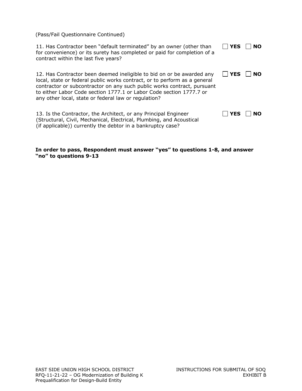(Pass/Fail Questionnaire Continued)

| 11. Has Contractor been "default terminated" by an owner (other than<br>for convenience) or its surety has completed or paid for completion of a<br>contract within the last five years?                                                                                                                                                                     | <b>YES</b> | <b>NO</b> |
|--------------------------------------------------------------------------------------------------------------------------------------------------------------------------------------------------------------------------------------------------------------------------------------------------------------------------------------------------------------|------------|-----------|
| 12. Has Contractor been deemed ineligible to bid on or be awarded any<br>local, state or federal public works contract, or to perform as a general<br>contractor or subcontractor on any such public works contract, pursuant<br>to either Labor Code section 1777.1 or Labor Code section 1777.7 or<br>any other local, state or federal law or regulation? | $\Box$ YES | NO.       |
| 13. Is the Contractor, the Architect, or any Principal Engineer<br>(Structural, Civil, Mechanical, Electrical, Plumbing, and Acoustical<br>(if applicable)) currently the debtor in a bankruptcy case?                                                                                                                                                       | <b>YES</b> | <b>NO</b> |

#### **In order to pass, Respondent must answer "yes" to questions 1-8, and answer "no" to questions 9-13**